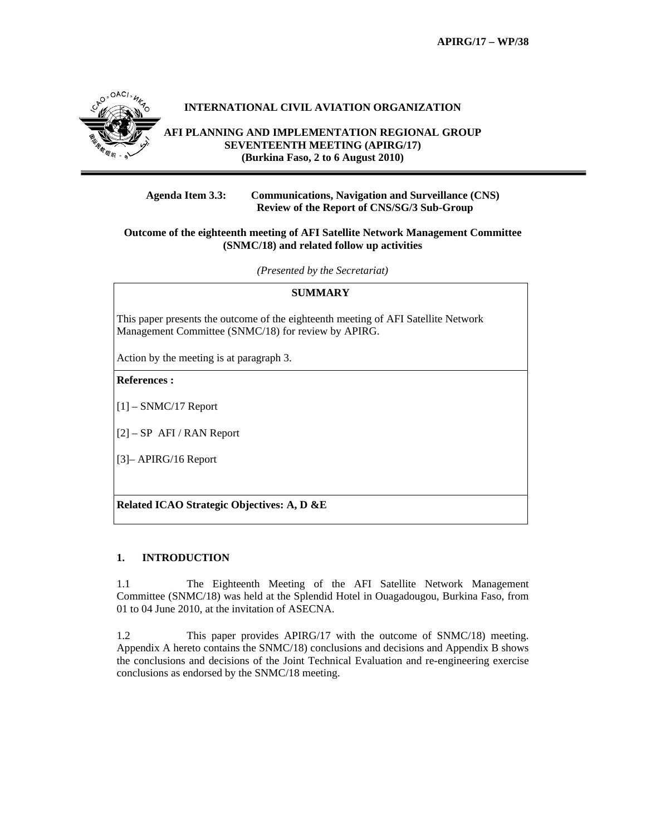

#### **INTERNATIONAL CIVIL AVIATION ORGANIZATION**

**AFI PLANNING AND IMPLEMENTATION REGIONAL GROUP SEVENTEENTH MEETING (APIRG/17) (Burkina Faso, 2 to 6 August 2010)** 

#### **Agenda Item 3.3: Communications, Navigation and Surveillance (CNS) Review of the Report of CNS/SG/3 Sub-Group**

#### **Outcome of the eighteenth meeting of AFI Satellite Network Management Committee (SNMC/18) and related follow up activities**

*(Presented by the Secretariat)* 

# **SUMMARY**  This paper presents the outcome of the eighteenth meeting of AFI Satellite Network Management Committee (SNMC/18) for review by APIRG. Action by the meeting is at paragraph 3.

#### **References :**

- [1] SNMC/17 Report
- [2] SP AFI / RAN Report
- [3]– APIRG/16 Report

## **Related ICAO Strategic Objectives: A, D &E**

#### **1. INTRODUCTION**

1.1 The Eighteenth Meeting of the AFI Satellite Network Management Committee (SNMC/18) was held at the Splendid Hotel in Ouagadougou, Burkina Faso, from 01 to 04 June 2010, at the invitation of ASECNA.

1.2 This paper provides APIRG/17 with the outcome of SNMC/18) meeting. Appendix A hereto contains the SNMC/18) conclusions and decisions and Appendix B shows the conclusions and decisions of the Joint Technical Evaluation and re-engineering exercise conclusions as endorsed by the SNMC/18 meeting.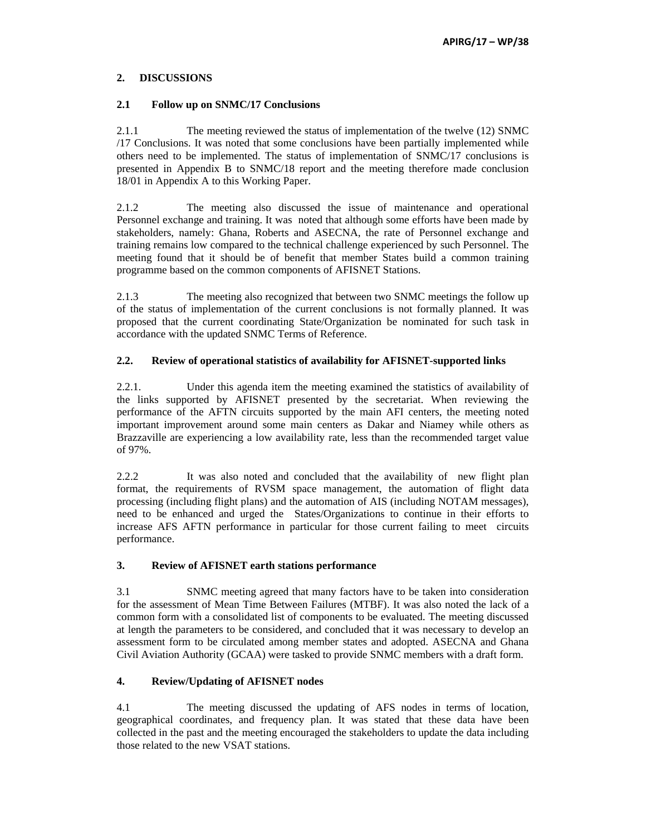#### **2. DISCUSSIONS**

#### **2.1 Follow up on SNMC/17 Conclusions**

2.1.1 The meeting reviewed the status of implementation of the twelve (12) SNMC /17 Conclusions. It was noted that some conclusions have been partially implemented while others need to be implemented. The status of implementation of SNMC/17 conclusions is presented in Appendix B to SNMC/18 report and the meeting therefore made conclusion 18/01 in Appendix A to this Working Paper.

2.1.2 The meeting also discussed the issue of maintenance and operational Personnel exchange and training. It was noted that although some efforts have been made by stakeholders, namely: Ghana, Roberts and ASECNA, the rate of Personnel exchange and training remains low compared to the technical challenge experienced by such Personnel. The meeting found that it should be of benefit that member States build a common training programme based on the common components of AFISNET Stations.

2.1.3 The meeting also recognized that between two SNMC meetings the follow up of the status of implementation of the current conclusions is not formally planned. It was proposed that the current coordinating State/Organization be nominated for such task in accordance with the updated SNMC Terms of Reference.

#### **2.2. Review of operational statistics of availability for AFISNET-supported links**

2.2.1. Under this agenda item the meeting examined the statistics of availability of the links supported by AFISNET presented by the secretariat. When reviewing the performance of the AFTN circuits supported by the main AFI centers, the meeting noted important improvement around some main centers as Dakar and Niamey while others as Brazzaville are experiencing a low availability rate, less than the recommended target value of 97%.

2.2.2 It was also noted and concluded that the availability of new flight plan format, the requirements of RVSM space management, the automation of flight data processing (including flight plans) and the automation of AIS (including NOTAM messages), need to be enhanced and urged the States/Organizations to continue in their efforts to increase AFS AFTN performance in particular for those current failing to meet circuits performance.

#### **3. Review of AFISNET earth stations performance**

3.1 SNMC meeting agreed that many factors have to be taken into consideration for the assessment of Mean Time Between Failures (MTBF). It was also noted the lack of a common form with a consolidated list of components to be evaluated. The meeting discussed at length the parameters to be considered, and concluded that it was necessary to develop an assessment form to be circulated among member states and adopted. ASECNA and Ghana Civil Aviation Authority (GCAA) were tasked to provide SNMC members with a draft form.

#### **4. Review/Updating of AFISNET nodes**

4.1 The meeting discussed the updating of AFS nodes in terms of location, geographical coordinates, and frequency plan. It was stated that these data have been collected in the past and the meeting encouraged the stakeholders to update the data including those related to the new VSAT stations.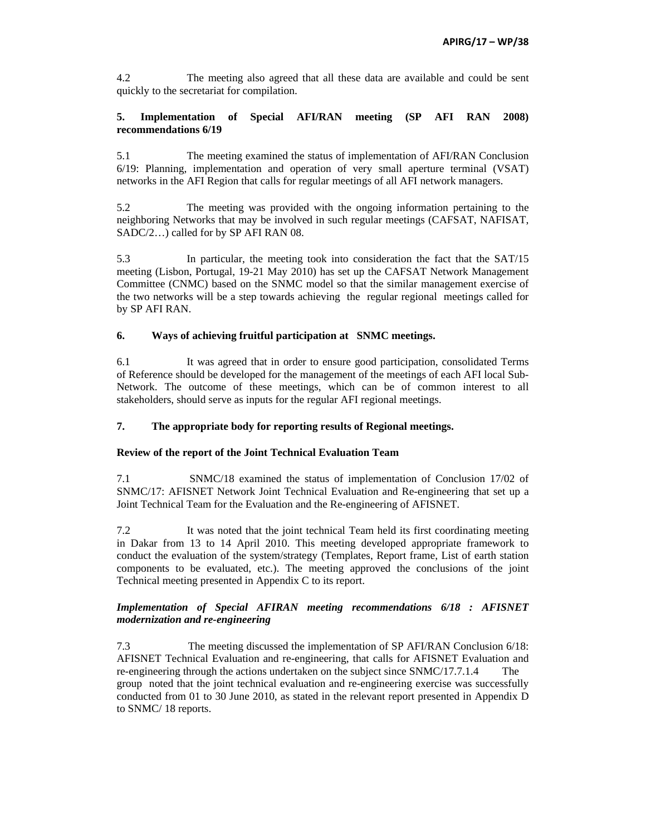4.2 The meeting also agreed that all these data are available and could be sent quickly to the secretariat for compilation.

#### **5. Implementation of Special AFI/RAN meeting (SP AFI RAN 2008) recommendations 6/19**

5.1 The meeting examined the status of implementation of AFI/RAN Conclusion 6/19: Planning, implementation and operation of very small aperture terminal (VSAT) networks in the AFI Region that calls for regular meetings of all AFI network managers.

5.2 The meeting was provided with the ongoing information pertaining to the neighboring Networks that may be involved in such regular meetings (CAFSAT, NAFISAT, SADC/2…) called for by SP AFI RAN 08.

5.3 In particular, the meeting took into consideration the fact that the SAT/15 meeting (Lisbon, Portugal, 19-21 May 2010) has set up the CAFSAT Network Management Committee (CNMC) based on the SNMC model so that the similar management exercise of the two networks will be a step towards achieving the regular regional meetings called for by SP AFI RAN.

#### **6. Ways of achieving fruitful participation at SNMC meetings.**

6.1 It was agreed that in order to ensure good participation, consolidated Terms of Reference should be developed for the management of the meetings of each AFI local Sub-Network. The outcome of these meetings, which can be of common interest to all stakeholders, should serve as inputs for the regular AFI regional meetings.

#### **7. The appropriate body for reporting results of Regional meetings.**

#### **Review of the report of the Joint Technical Evaluation Team**

7.1 SNMC/18 examined the status of implementation of Conclusion 17/02 of SNMC/17: AFISNET Network Joint Technical Evaluation and Re-engineering that set up a Joint Technical Team for the Evaluation and the Re-engineering of AFISNET.

7.2 It was noted that the joint technical Team held its first coordinating meeting in Dakar from 13 to 14 April 2010. This meeting developed appropriate framework to conduct the evaluation of the system/strategy (Templates, Report frame, List of earth station components to be evaluated, etc.). The meeting approved the conclusions of the joint Technical meeting presented in Appendix C to its report.

#### *Implementation of Special AFIRAN meeting recommendations 6/18 : AFISNET modernization and re-engineering*

7.3 The meeting discussed the implementation of SP AFI/RAN Conclusion 6/18: AFISNET Technical Evaluation and re-engineering, that calls for AFISNET Evaluation and re-engineering through the actions undertaken on the subject since SNMC/17.7.1.4 The group noted that the joint technical evaluation and re-engineering exercise was successfully conducted from 01 to 30 June 2010, as stated in the relevant report presented in Appendix D to SNMC/ 18 reports.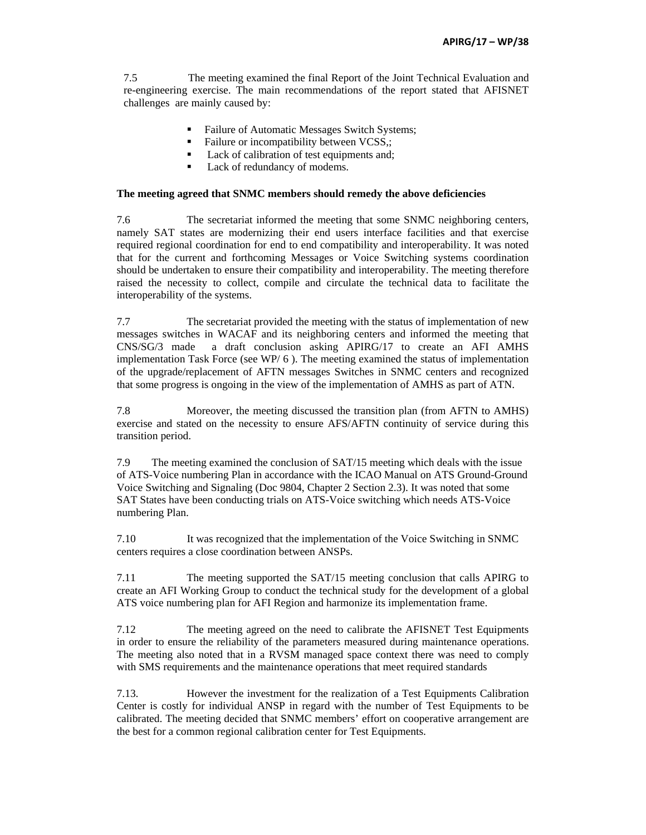7.5 The meeting examined the final Report of the Joint Technical Evaluation and re-engineering exercise. The main recommendations of the report stated that AFISNET challenges are mainly caused by:

- Failure of Automatic Messages Switch Systems;
- Failure or incompatibility between VCSS,;
- Lack of calibration of test equipments and;
- Lack of redundancy of modems.

#### **The meeting agreed that SNMC members should remedy the above deficiencies**

7.6 The secretariat informed the meeting that some SNMC neighboring centers, namely SAT states are modernizing their end users interface facilities and that exercise required regional coordination for end to end compatibility and interoperability. It was noted that for the current and forthcoming Messages or Voice Switching systems coordination should be undertaken to ensure their compatibility and interoperability. The meeting therefore raised the necessity to collect, compile and circulate the technical data to facilitate the interoperability of the systems.

7.7 The secretariat provided the meeting with the status of implementation of new messages switches in WACAF and its neighboring centers and informed the meeting that CNS/SG/3 made a draft conclusion asking APIRG/17 to create an AFI AMHS implementation Task Force (see WP/ 6 ). The meeting examined the status of implementation of the upgrade/replacement of AFTN messages Switches in SNMC centers and recognized that some progress is ongoing in the view of the implementation of AMHS as part of ATN.

7.8 Moreover, the meeting discussed the transition plan (from AFTN to AMHS) exercise and stated on the necessity to ensure AFS/AFTN continuity of service during this transition period.

7.9 The meeting examined the conclusion of SAT/15 meeting which deals with the issue of ATS-Voice numbering Plan in accordance with the ICAO Manual on ATS Ground-Ground Voice Switching and Signaling (Doc 9804, Chapter 2 Section 2.3). It was noted that some SAT States have been conducting trials on ATS-Voice switching which needs ATS-Voice numbering Plan.

7.10 It was recognized that the implementation of the Voice Switching in SNMC centers requires a close coordination between ANSPs.

7.11 The meeting supported the SAT/15 meeting conclusion that calls APIRG to create an AFI Working Group to conduct the technical study for the development of a global ATS voice numbering plan for AFI Region and harmonize its implementation frame.

7.12 The meeting agreed on the need to calibrate the AFISNET Test Equipments in order to ensure the reliability of the parameters measured during maintenance operations. The meeting also noted that in a RVSM managed space context there was need to comply with SMS requirements and the maintenance operations that meet required standards

7.13. However the investment for the realization of a Test Equipments Calibration Center is costly for individual ANSP in regard with the number of Test Equipments to be calibrated. The meeting decided that SNMC members' effort on cooperative arrangement are the best for a common regional calibration center for Test Equipments.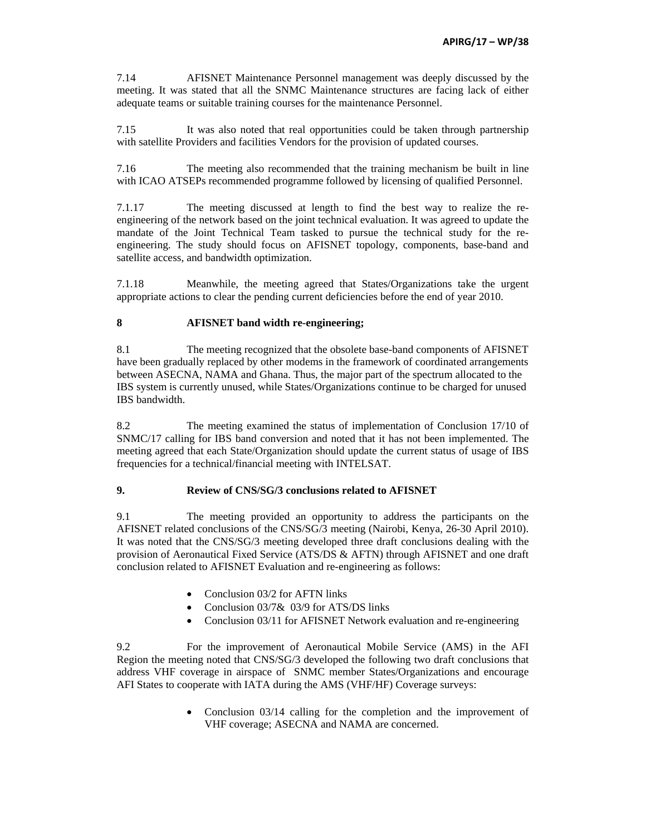7.14 AFISNET Maintenance Personnel management was deeply discussed by the meeting. It was stated that all the SNMC Maintenance structures are facing lack of either adequate teams or suitable training courses for the maintenance Personnel.

7.15 It was also noted that real opportunities could be taken through partnership with satellite Providers and facilities Vendors for the provision of updated courses.

7.16 The meeting also recommended that the training mechanism be built in line with ICAO ATSEPs recommended programme followed by licensing of qualified Personnel.

7.1.17 The meeting discussed at length to find the best way to realize the reengineering of the network based on the joint technical evaluation. It was agreed to update the mandate of the Joint Technical Team tasked to pursue the technical study for the reengineering. The study should focus on AFISNET topology, components, base-band and satellite access, and bandwidth optimization.

7.1.18 Meanwhile, the meeting agreed that States/Organizations take the urgent appropriate actions to clear the pending current deficiencies before the end of year 2010.

#### **8 AFISNET band width re-engineering;**

8.1 The meeting recognized that the obsolete base-band components of AFISNET have been gradually replaced by other modems in the framework of coordinated arrangements between ASECNA, NAMA and Ghana. Thus, the major part of the spectrum allocated to the IBS system is currently unused, while States/Organizations continue to be charged for unused IBS bandwidth.

8.2 The meeting examined the status of implementation of Conclusion 17/10 of SNMC/17 calling for IBS band conversion and noted that it has not been implemented. The meeting agreed that each State/Organization should update the current status of usage of IBS frequencies for a technical/financial meeting with INTELSAT.

#### **9. Review of CNS/SG/3 conclusions related to AFISNET**

9.1 The meeting provided an opportunity to address the participants on the AFISNET related conclusions of the CNS/SG/3 meeting (Nairobi, Kenya, 26-30 April 2010). It was noted that the CNS/SG/3 meeting developed three draft conclusions dealing with the provision of Aeronautical Fixed Service (ATS/DS & AFTN) through AFISNET and one draft conclusion related to AFISNET Evaluation and re-engineering as follows:

- Conclusion 03/2 for AFTN links
- Conclusion 03/7& 03/9 for ATS/DS links
- Conclusion 03/11 for AFISNET Network evaluation and re-engineering

9.2 For the improvement of Aeronautical Mobile Service (AMS) in the AFI Region the meeting noted that CNS/SG/3 developed the following two draft conclusions that address VHF coverage in airspace of SNMC member States/Organizations and encourage AFI States to cooperate with IATA during the AMS (VHF/HF) Coverage surveys:

> • Conclusion 03/14 calling for the completion and the improvement of VHF coverage; ASECNA and NAMA are concerned.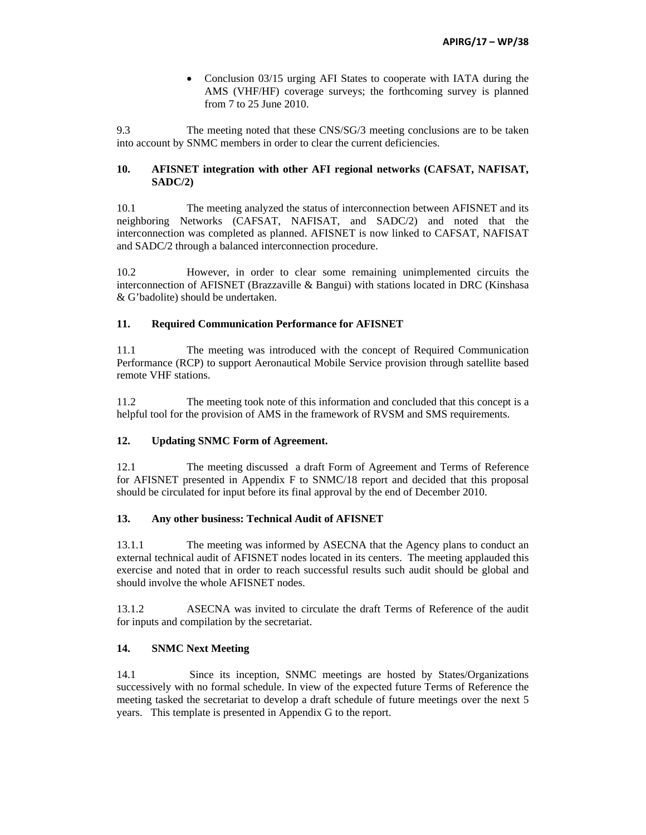• Conclusion 03/15 urging AFI States to cooperate with IATA during the AMS (VHF/HF) coverage surveys; the forthcoming survey is planned from 7 to 25 June 2010.

9.3 The meeting noted that these CNS/SG/3 meeting conclusions are to be taken into account by SNMC members in order to clear the current deficiencies.

#### **10. AFISNET integration with other AFI regional networks (CAFSAT, NAFISAT, SADC/2)**

10.1 The meeting analyzed the status of interconnection between AFISNET and its neighboring Networks (CAFSAT, NAFISAT, and SADC/2) and noted that the interconnection was completed as planned. AFISNET is now linked to CAFSAT, NAFISAT and SADC/2 through a balanced interconnection procedure.

10.2 However, in order to clear some remaining unimplemented circuits the interconnection of AFISNET (Brazzaville & Bangui) with stations located in DRC (Kinshasa & G'badolite) should be undertaken.

#### **11. Required Communication Performance for AFISNET**

11.1 The meeting was introduced with the concept of Required Communication Performance (RCP) to support Aeronautical Mobile Service provision through satellite based remote VHF stations.

11.2 The meeting took note of this information and concluded that this concept is a helpful tool for the provision of AMS in the framework of RVSM and SMS requirements.

#### **12. Updating SNMC Form of Agreement.**

12.1 The meeting discussed a draft Form of Agreement and Terms of Reference for AFISNET presented in Appendix F to SNMC/18 report and decided that this proposal should be circulated for input before its final approval by the end of December 2010.

#### **13. Any other business: Technical Audit of AFISNET**

13.1.1 The meeting was informed by ASECNA that the Agency plans to conduct an external technical audit of AFISNET nodes located in its centers. The meeting applauded this exercise and noted that in order to reach successful results such audit should be global and should involve the whole AFISNET nodes.

13.1.2 ASECNA was invited to circulate the draft Terms of Reference of the audit for inputs and compilation by the secretariat.

#### **14. SNMC Next Meeting**

14.1 Since its inception, SNMC meetings are hosted by States/Organizations successively with no formal schedule. In view of the expected future Terms of Reference the meeting tasked the secretariat to develop a draft schedule of future meetings over the next 5 years. This template is presented in Appendix G to the report.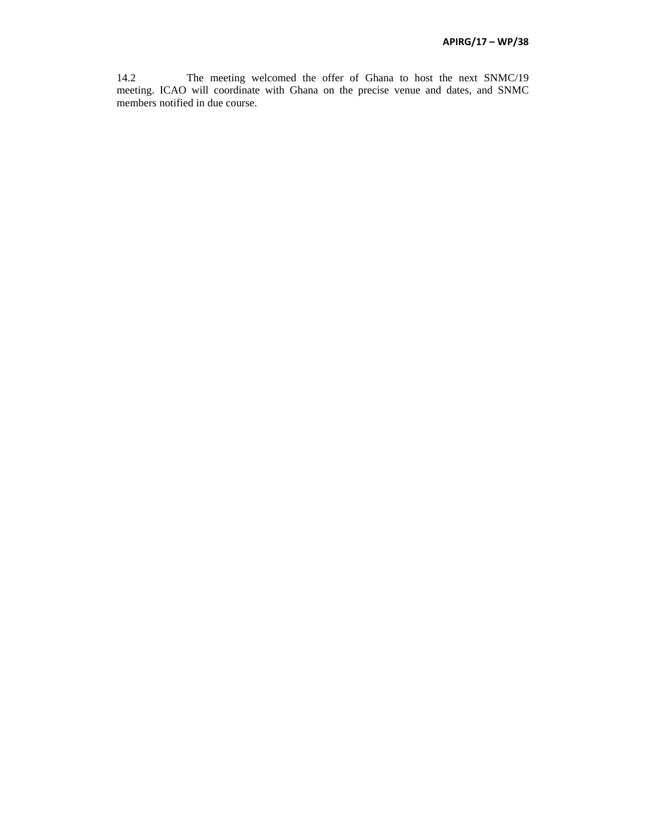14.2 The meeting welcomed the offer of Ghana to host the next SNMC/19 meeting. ICAO will coordinate with Ghana on the precise venue and dates, and SNMC members notified in due course.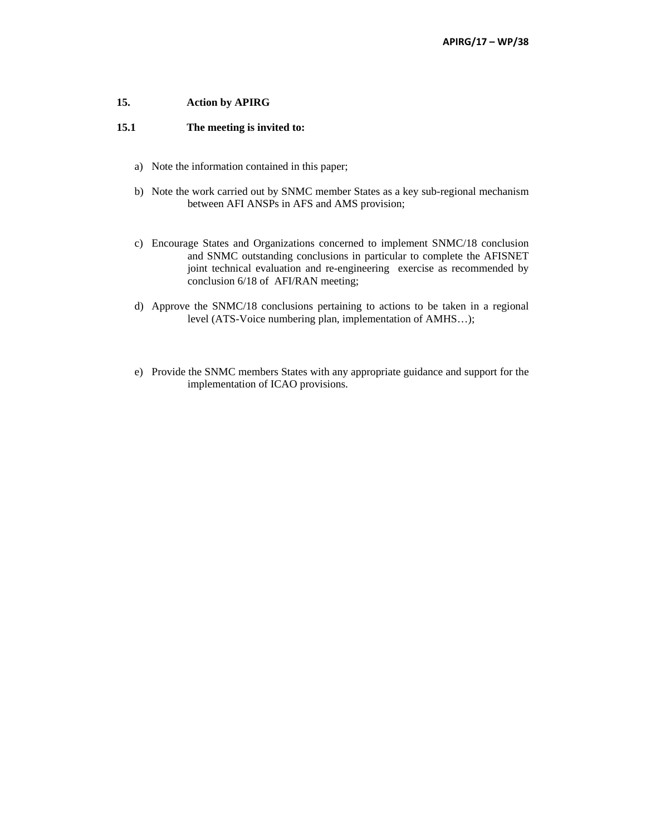#### **15. Action by APIRG**

#### **15.1 The meeting is invited to:**

- a) Note the information contained in this paper;
- b) Note the work carried out by SNMC member States as a key sub-regional mechanism between AFI ANSPs in AFS and AMS provision;
- c) Encourage States and Organizations concerned to implement SNMC/18 conclusion and SNMC outstanding conclusions in particular to complete the AFISNET joint technical evaluation and re-engineering exercise as recommended by conclusion 6/18 of AFI/RAN meeting;
- d) Approve the SNMC/18 conclusions pertaining to actions to be taken in a regional level (ATS-Voice numbering plan, implementation of AMHS…);
- e) Provide the SNMC members States with any appropriate guidance and support for the implementation of ICAO provisions.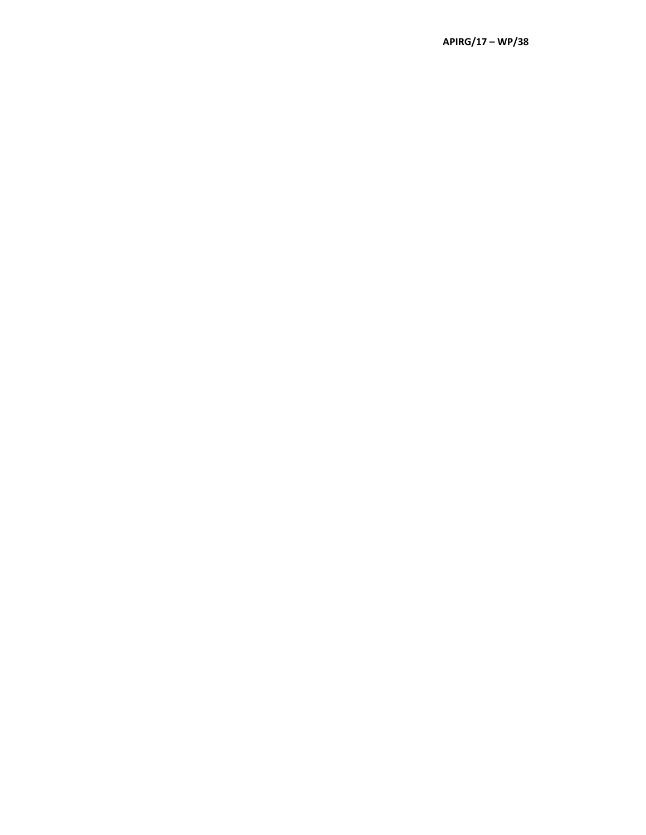## **APIRG/17 – WP/38**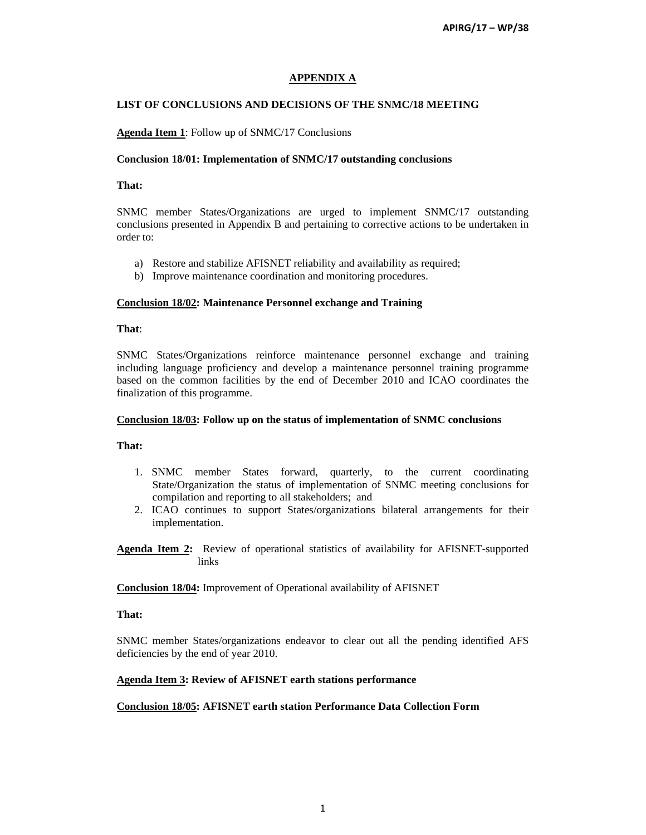#### **APPENDIX A**

#### **LIST OF CONCLUSIONS AND DECISIONS OF THE SNMC/18 MEETING**

#### **Agenda Item 1**: Follow up of SNMC/17 Conclusions

#### **Conclusion 18/01: Implementation of SNMC/17 outstanding conclusions**

#### **That:**

SNMC member States/Organizations are urged to implement SNMC/17 outstanding conclusions presented in Appendix B and pertaining to corrective actions to be undertaken in order to:

- a) Restore and stabilize AFISNET reliability and availability as required;
- b) Improve maintenance coordination and monitoring procedures.

#### **Conclusion 18/02: Maintenance Personnel exchange and Training**

#### **That**:

SNMC States/Organizations reinforce maintenance personnel exchange and training including language proficiency and develop a maintenance personnel training programme based on the common facilities by the end of December 2010 and ICAO coordinates the finalization of this programme.

#### **Conclusion 18/03: Follow up on the status of implementation of SNMC conclusions**

#### **That:**

- 1. SNMC member States forward, quarterly, to the current coordinating State/Organization the status of implementation of SNMC meeting conclusions for compilation and reporting to all stakeholders; and
- 2. ICAO continues to support States/organizations bilateral arrangements for their implementation.

**Agenda Item 2:** Review of operational statistics of availability for AFISNET-supported links

**Conclusion 18/04:** Improvement of Operational availability of AFISNET

#### **That:**

SNMC member States/organizations endeavor to clear out all the pending identified AFS deficiencies by the end of year 2010.

#### **Agenda Item 3: Review of AFISNET earth stations performance**

#### **Conclusion 18/05: AFISNET earth station Performance Data Collection Form**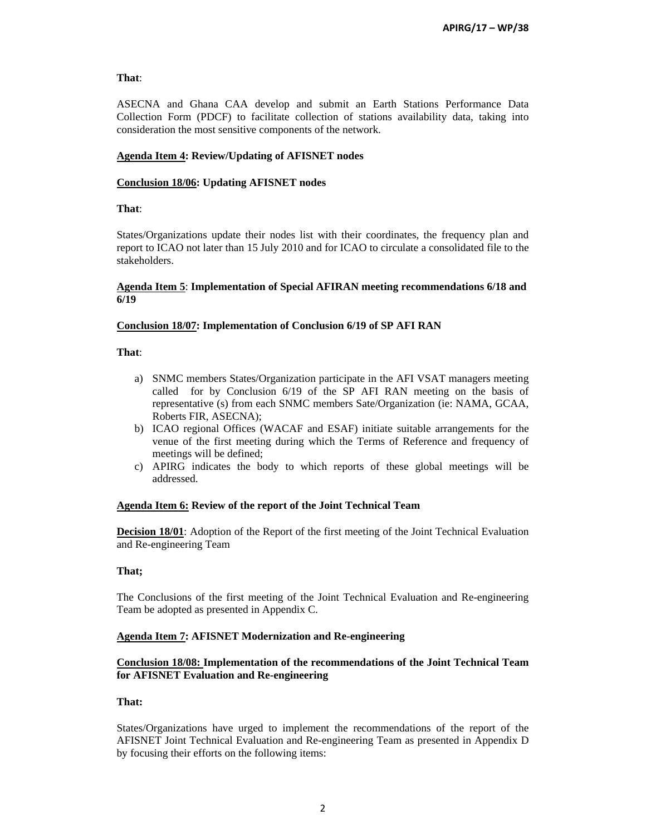#### **That**:

ASECNA and Ghana CAA develop and submit an Earth Stations Performance Data Collection Form (PDCF) to facilitate collection of stations availability data, taking into consideration the most sensitive components of the network.

#### **Agenda Item 4: Review/Updating of AFISNET nodes**

#### **Conclusion 18/06: Updating AFISNET nodes**

#### **That**:

States/Organizations update their nodes list with their coordinates, the frequency plan and report to ICAO not later than 15 July 2010 and for ICAO to circulate a consolidated file to the stakeholders.

#### **Agenda Item 5**: **Implementation of Special AFIRAN meeting recommendations 6/18 and 6/19**

#### **Conclusion 18/07: Implementation of Conclusion 6/19 of SP AFI RAN**

#### **That**:

- a) SNMC members States/Organization participate in the AFI VSAT managers meeting called for by Conclusion 6/19 of the SP AFI RAN meeting on the basis of representative (s) from each SNMC members Sate/Organization (ie: NAMA, GCAA, Roberts FIR, ASECNA);
- b) ICAO regional Offices (WACAF and ESAF) initiate suitable arrangements for the venue of the first meeting during which the Terms of Reference and frequency of meetings will be defined;
- c) APIRG indicates the body to which reports of these global meetings will be addressed.

#### **Agenda Item 6: Review of the report of the Joint Technical Team**

**Decision 18/01**: Adoption of the Report of the first meeting of the Joint Technical Evaluation and Re-engineering Team

#### **That;**

The Conclusions of the first meeting of the Joint Technical Evaluation and Re-engineering Team be adopted as presented in Appendix C.

#### **Agenda Item 7: AFISNET Modernization and Re-engineering**

#### **Conclusion 18/08: Implementation of the recommendations of the Joint Technical Team for AFISNET Evaluation and Re-engineering**

#### **That:**

States/Organizations have urged to implement the recommendations of the report of the AFISNET Joint Technical Evaluation and Re-engineering Team as presented in Appendix D by focusing their efforts on the following items: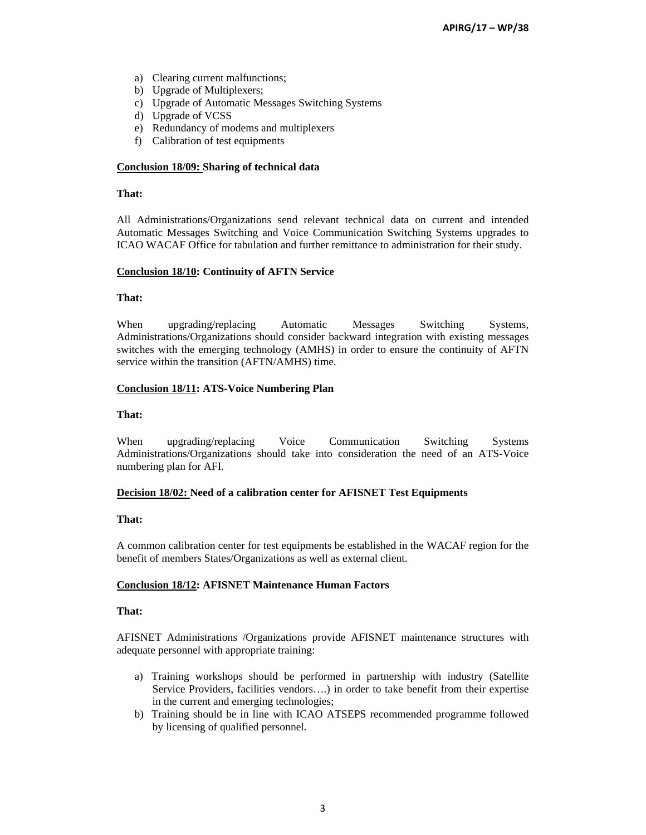- a) Clearing current malfunctions;
- b) Upgrade of Multiplexers;
- c) Upgrade of Automatic Messages Switching Systems
- d) Upgrade of VCSS
- e) Redundancy of modems and multiplexers
- f) Calibration of test equipments

#### **Conclusion 18/09: Sharing of technical data**

#### **That:**

All Administrations/Organizations send relevant technical data on current and intended Automatic Messages Switching and Voice Communication Switching Systems upgrades to ICAO WACAF Office for tabulation and further remittance to administration for their study.

#### **Conclusion 18/10: Continuity of AFTN Service**

#### **That:**

When upgrading/replacing Automatic Messages Switching Systems, Administrations/Organizations should consider backward integration with existing messages switches with the emerging technology (AMHS) in order to ensure the continuity of AFTN service within the transition (AFTN/AMHS) time.

#### **Conclusion 18/11: ATS-Voice Numbering Plan**

#### **That:**

When upgrading/replacing Voice Communication Switching Systems Administrations/Organizations should take into consideration the need of an ATS-Voice numbering plan for AFI.

#### **Decision 18/02: Need of a calibration center for AFISNET Test Equipments**

#### **That:**

A common calibration center for test equipments be established in the WACAF region for the benefit of members States/Organizations as well as external client.

#### **Conclusion 18/12: AFISNET Maintenance Human Factors**

#### **That:**

AFISNET Administrations /Organizations provide AFISNET maintenance structures with adequate personnel with appropriate training:

- a) Training workshops should be performed in partnership with industry (Satellite Service Providers, facilities vendors….) in order to take benefit from their expertise in the current and emerging technologies;
- b) Training should be in line with ICAO ATSEPS recommended programme followed by licensing of qualified personnel.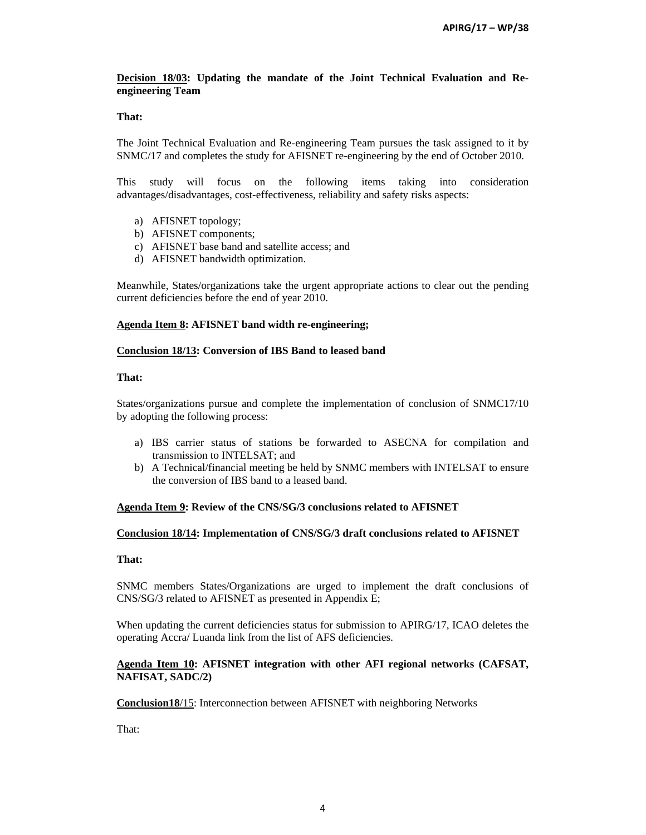#### **Decision 18/03: Updating the mandate of the Joint Technical Evaluation and Reengineering Team**

#### **That:**

The Joint Technical Evaluation and Re-engineering Team pursues the task assigned to it by SNMC/17 and completes the study for AFISNET re-engineering by the end of October 2010.

This study will focus on the following items taking into consideration advantages/disadvantages, cost-effectiveness, reliability and safety risks aspects:

- a) AFISNET topology;
- b) AFISNET components;
- c) AFISNET base band and satellite access; and
- d) AFISNET bandwidth optimization.

Meanwhile, States/organizations take the urgent appropriate actions to clear out the pending current deficiencies before the end of year 2010.

#### **Agenda Item 8: AFISNET band width re-engineering;**

#### **Conclusion 18/13: Conversion of IBS Band to leased band**

#### **That:**

States/organizations pursue and complete the implementation of conclusion of SNMC17/10 by adopting the following process:

- a) IBS carrier status of stations be forwarded to ASECNA for compilation and transmission to INTELSAT; and
- b) A Technical/financial meeting be held by SNMC members with INTELSAT to ensure the conversion of IBS band to a leased band.

#### **Agenda Item 9: Review of the CNS/SG/3 conclusions related to AFISNET**

#### **Conclusion 18/14: Implementation of CNS/SG/3 draft conclusions related to AFISNET**

#### **That:**

SNMC members States/Organizations are urged to implement the draft conclusions of CNS/SG/3 related to AFISNET as presented in Appendix E;

When updating the current deficiencies status for submission to APIRG/17, ICAO deletes the operating Accra/ Luanda link from the list of AFS deficiencies.

#### **Agenda Item 10: AFISNET integration with other AFI regional networks (CAFSAT, NAFISAT, SADC/2)**

**Conclusion18**/15: Interconnection between AFISNET with neighboring Networks

That: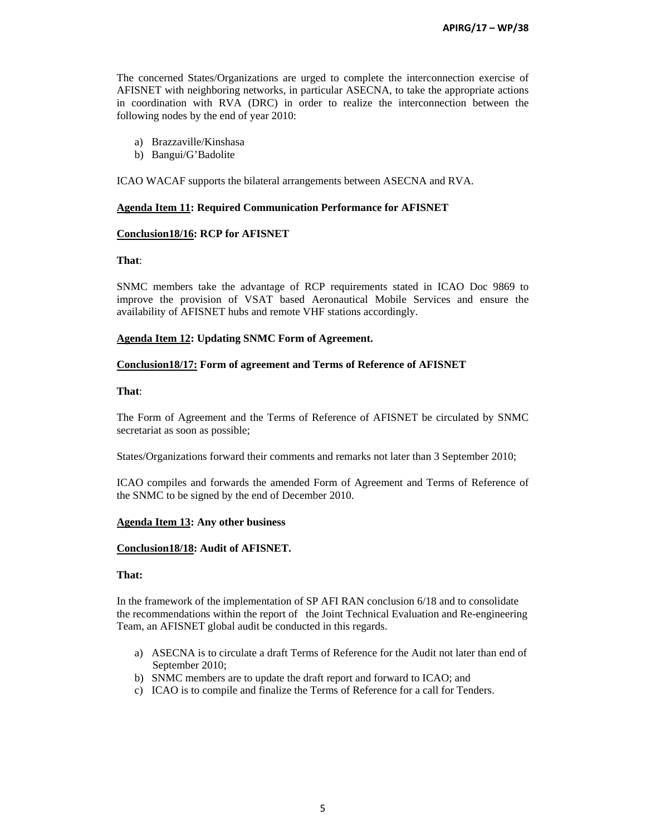The concerned States/Organizations are urged to complete the interconnection exercise of AFISNET with neighboring networks, in particular ASECNA, to take the appropriate actions in coordination with RVA (DRC) in order to realize the interconnection between the following nodes by the end of year 2010:

- a) Brazzaville/Kinshasa
- b) Bangui/G'Badolite

ICAO WACAF supports the bilateral arrangements between ASECNA and RVA.

#### **Agenda Item 11: Required Communication Performance for AFISNET**

#### **Conclusion18/16: RCP for AFISNET**

#### **That**:

SNMC members take the advantage of RCP requirements stated in ICAO Doc 9869 to improve the provision of VSAT based Aeronautical Mobile Services and ensure the availability of AFISNET hubs and remote VHF stations accordingly.

#### **Agenda Item 12: Updating SNMC Form of Agreement.**

#### **Conclusion18/17: Form of agreement and Terms of Reference of AFISNET**

#### **That**:

The Form of Agreement and the Terms of Reference of AFISNET be circulated by SNMC secretariat as soon as possible;

States/Organizations forward their comments and remarks not later than 3 September 2010;

ICAO compiles and forwards the amended Form of Agreement and Terms of Reference of the SNMC to be signed by the end of December 2010.

#### **Agenda Item 13: Any other business**

#### **Conclusion18/18: Audit of AFISNET.**

#### **That:**

In the framework of the implementation of SP AFI RAN conclusion 6/18 and to consolidate the recommendations within the report of the Joint Technical Evaluation and Re-engineering Team, an AFISNET global audit be conducted in this regards.

- a) ASECNA is to circulate a draft Terms of Reference for the Audit not later than end of September 2010;
- b) SNMC members are to update the draft report and forward to ICAO; and
- c) ICAO is to compile and finalize the Terms of Reference for a call for Tenders.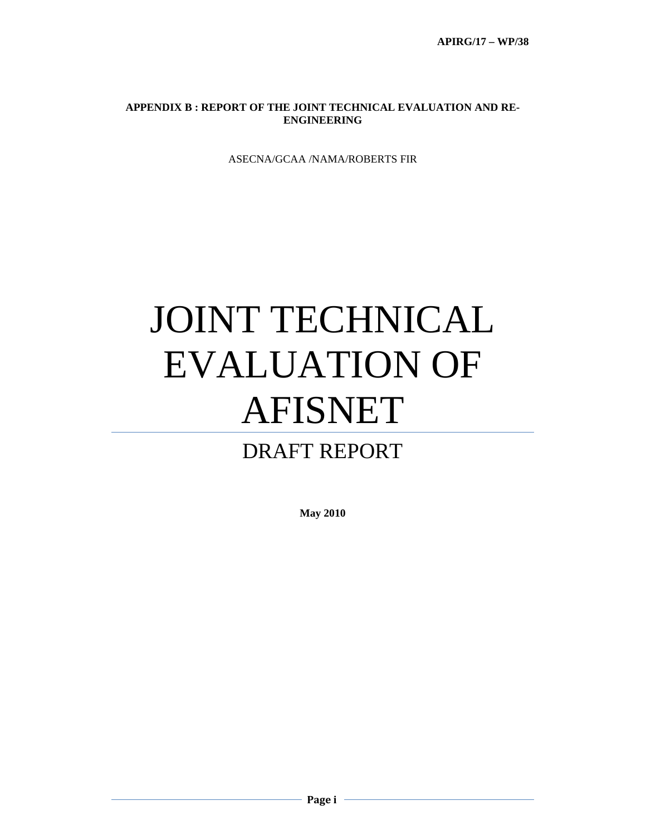#### **APPENDIX B : REPORT OF THE JOINT TECHNICAL EVALUATION AND RE-ENGINEERING**

ASECNA/GCAA /NAMA/ROBERTS FIR

# JOINT TECHNICAL EVALUATION OF AFISNET

# DRAFT REPORT

**May 2010**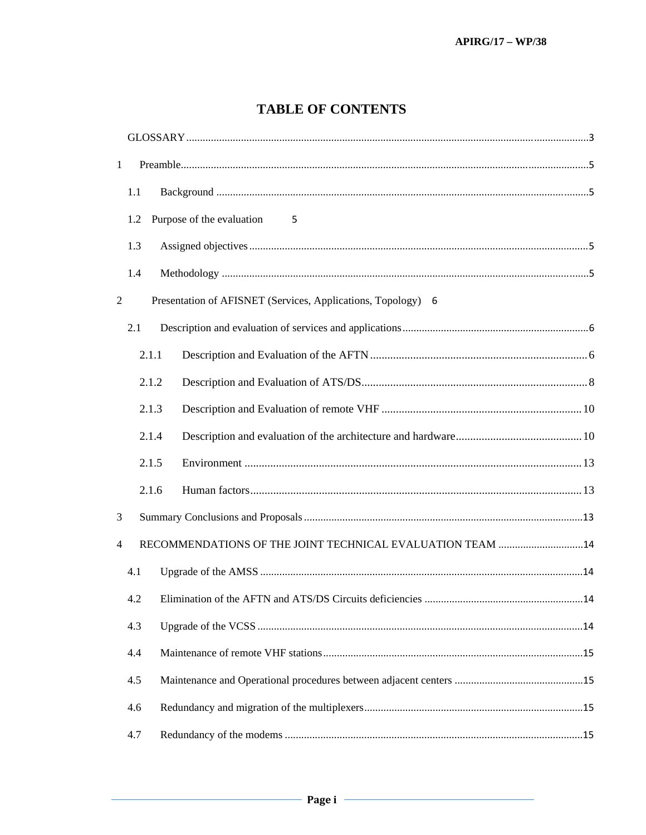# **TABLE OF CONTENTS**

| $\mathbf{1}$   |     |       |                                                              |  |
|----------------|-----|-------|--------------------------------------------------------------|--|
|                | 1.1 |       |                                                              |  |
|                | 1.2 |       | Purpose of the evaluation<br>5                               |  |
|                | 1.3 |       |                                                              |  |
|                | 1.4 |       |                                                              |  |
| $\overline{2}$ |     |       | Presentation of AFISNET (Services, Applications, Topology) 6 |  |
|                | 2.1 |       |                                                              |  |
|                |     | 2.1.1 |                                                              |  |
|                |     | 2.1.2 |                                                              |  |
|                |     | 2.1.3 |                                                              |  |
|                |     | 2.1.4 |                                                              |  |
|                |     | 2.1.5 |                                                              |  |
|                |     | 2.1.6 |                                                              |  |
| 3              |     |       |                                                              |  |
| 4              |     |       | RECOMMENDATIONS OF THE JOINT TECHNICAL EVALUATION TEAM  14   |  |
|                | 4.1 |       |                                                              |  |
|                | 4.2 |       |                                                              |  |
|                | 4.3 |       |                                                              |  |
|                | 4.4 |       |                                                              |  |
|                | 4.5 |       |                                                              |  |
|                | 4.6 |       |                                                              |  |
|                | 4.7 |       |                                                              |  |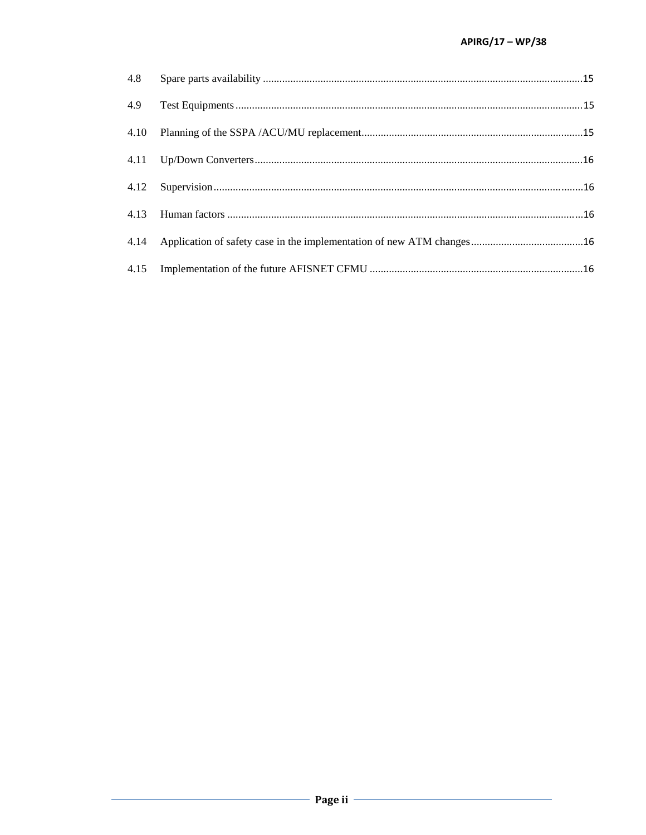| 4.8  |  |
|------|--|
| 4.9  |  |
|      |  |
|      |  |
|      |  |
|      |  |
|      |  |
| 4.15 |  |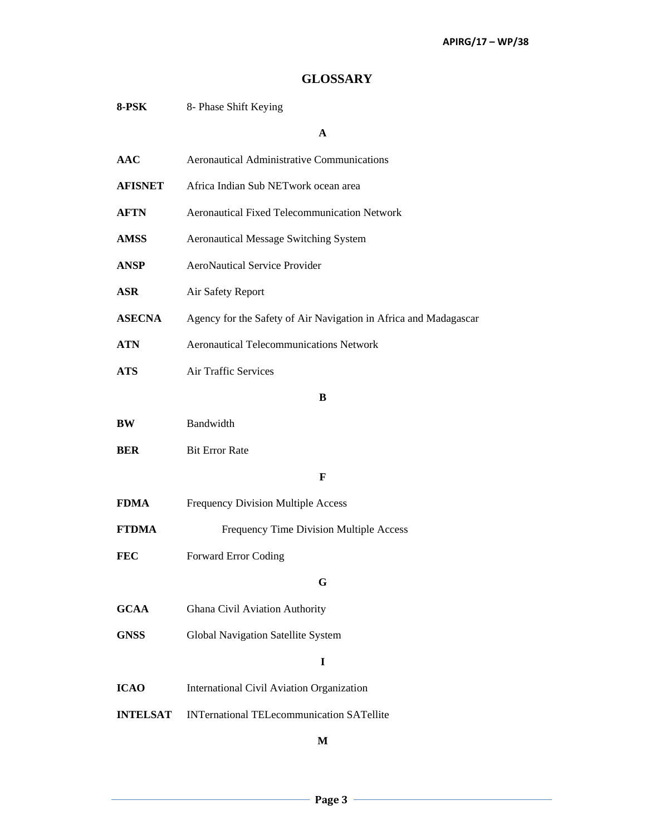# **GLOSSARY**

| 8-PSK           | 8- Phase Shift Keying                                            |
|-----------------|------------------------------------------------------------------|
|                 | A                                                                |
| <b>AAC</b>      | <b>Aeronautical Administrative Communications</b>                |
| <b>AFISNET</b>  | Africa Indian Sub NETwork ocean area                             |
| <b>AFTN</b>     | <b>Aeronautical Fixed Telecommunication Network</b>              |
| <b>AMSS</b>     | <b>Aeronautical Message Switching System</b>                     |
| <b>ANSP</b>     | <b>AeroNautical Service Provider</b>                             |
| <b>ASR</b>      | Air Safety Report                                                |
| <b>ASECNA</b>   | Agency for the Safety of Air Navigation in Africa and Madagascar |
| <b>ATN</b>      | <b>Aeronautical Telecommunications Network</b>                   |
| <b>ATS</b>      | Air Traffic Services                                             |
|                 | B                                                                |
| $\mathbf{BW}$   | Bandwidth                                                        |
| <b>BER</b>      | <b>Bit Error Rate</b>                                            |
|                 | F                                                                |
| <b>FDMA</b>     | Frequency Division Multiple Access                               |
| <b>FTDMA</b>    | Frequency Time Division Multiple Access                          |
| <b>FEC</b>      | Forward Error Coding                                             |
|                 | G                                                                |
| <b>GCAA</b>     | <b>Ghana Civil Aviation Authority</b>                            |
| <b>GNSS</b>     | Global Navigation Satellite System                               |
|                 | I                                                                |
| <b>ICAO</b>     | International Civil Aviation Organization                        |
| <b>INTELSAT</b> | <b>INTernational TELecommunication SATellite</b>                 |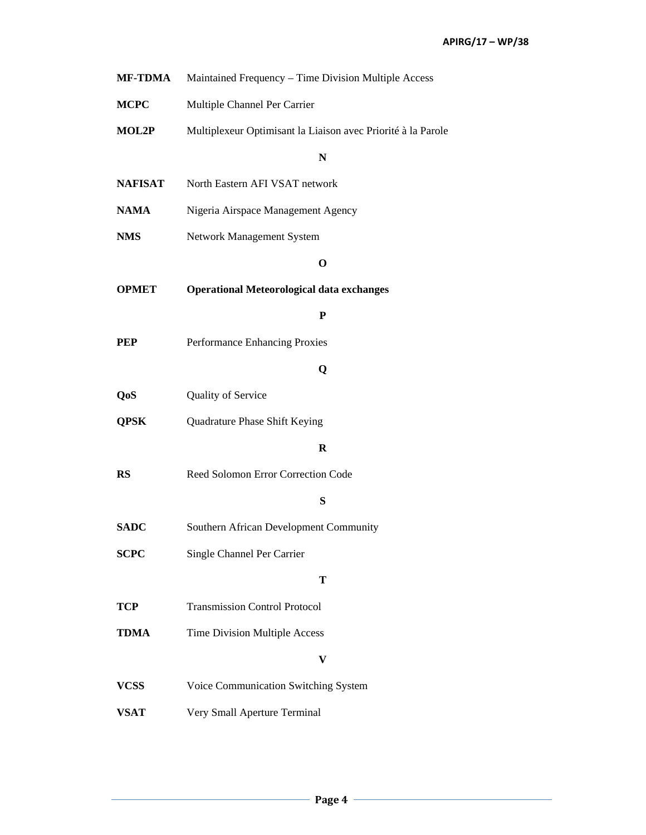| <b>MF-TDMA</b> | Maintained Frequency - Time Division Multiple Access         |
|----------------|--------------------------------------------------------------|
| <b>MCPC</b>    | Multiple Channel Per Carrier                                 |
| <b>MOL2P</b>   | Multiplexeur Optimisant la Liaison avec Priorité à la Parole |
|                | N                                                            |
| <b>NAFISAT</b> | North Eastern AFI VSAT network                               |
| <b>NAMA</b>    | Nigeria Airspace Management Agency                           |
| <b>NMS</b>     | Network Management System                                    |
|                | $\mathbf 0$                                                  |
| <b>OPMET</b>   | <b>Operational Meteorological data exchanges</b>             |
|                | ${\bf P}$                                                    |
| <b>PEP</b>     | Performance Enhancing Proxies                                |
|                | Q                                                            |
| QoS            | Quality of Service                                           |
| <b>QPSK</b>    | Quadrature Phase Shift Keying                                |
|                | $\bf R$                                                      |
| <b>RS</b>      | Reed Solomon Error Correction Code                           |
|                | S                                                            |
| <b>SADC</b>    | Southern African Development Community                       |
| <b>SCPC</b>    | Single Channel Per Carrier                                   |
|                | T                                                            |
| <b>TCP</b>     | <b>Transmission Control Protocol</b>                         |
| <b>TDMA</b>    | <b>Time Division Multiple Access</b>                         |
|                | V                                                            |
| <b>VCSS</b>    | Voice Communication Switching System                         |
| <b>VSAT</b>    | Very Small Aperture Terminal                                 |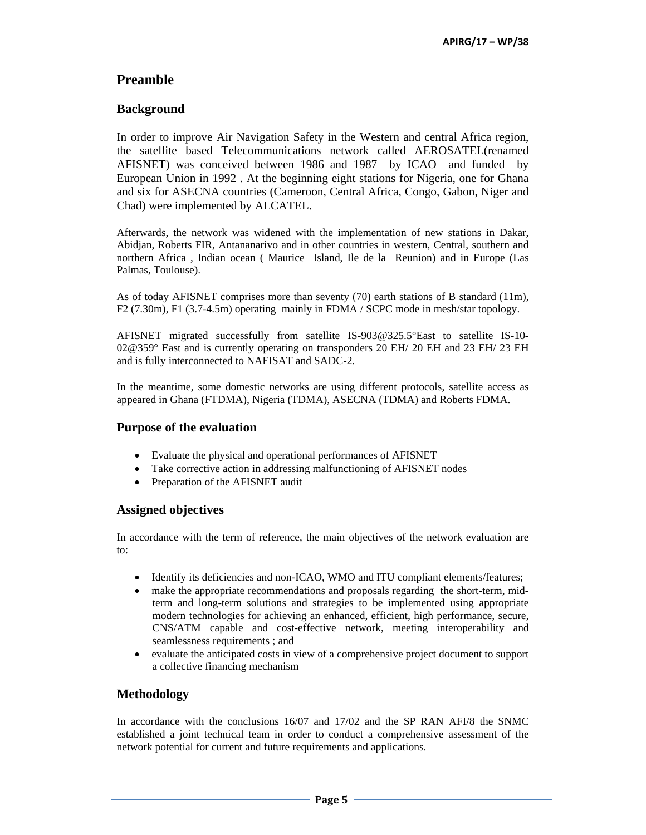# **Preamble**

# **Background**

In order to improve Air Navigation Safety in the Western and central Africa region, the satellite based Telecommunications network called AEROSATEL(renamed AFISNET) was conceived between 1986 and 1987 by ICAO and funded by European Union in 1992 . At the beginning eight stations for Nigeria, one for Ghana and six for ASECNA countries (Cameroon, Central Africa, Congo, Gabon, Niger and Chad) were implemented by ALCATEL.

Afterwards, the network was widened with the implementation of new stations in Dakar, Abidjan, Roberts FIR, Antananarivo and in other countries in western, Central, southern and northern Africa , Indian ocean ( Maurice Island, Ile de la Reunion) and in Europe (Las Palmas, Toulouse).

As of today AFISNET comprises more than seventy (70) earth stations of B standard (11m), F2 (7.30m), F1 (3.7-4.5m) operating mainly in FDMA / SCPC mode in mesh/star topology.

AFISNET migrated successfully from satellite IS-903@325.5°East to satellite IS-10- 02@359° East and is currently operating on transponders 20 EH/ 20 EH and 23 EH/ 23 EH and is fully interconnected to NAFISAT and SADC-2.

In the meantime, some domestic networks are using different protocols, satellite access as appeared in Ghana (FTDMA), Nigeria (TDMA), ASECNA (TDMA) and Roberts FDMA.

#### **Purpose of the evaluation**

- Evaluate the physical and operational performances of AFISNET
- Take corrective action in addressing malfunctioning of AFISNET nodes
- Preparation of the AFISNET audit

# **Assigned objectives**

In accordance with the term of reference, the main objectives of the network evaluation are to:

- Identify its deficiencies and non-ICAO, WMO and ITU compliant elements/features;
- make the appropriate recommendations and proposals regarding the short-term, midterm and long-term solutions and strategies to be implemented using appropriate modern technologies for achieving an enhanced, efficient, high performance, secure, CNS/ATM capable and cost-effective network, meeting interoperability and seamlessness requirements ; and
- evaluate the anticipated costs in view of a comprehensive project document to support a collective financing mechanism

# **Methodology**

In accordance with the conclusions 16/07 and 17/02 and the SP RAN AFI/8 the SNMC established a joint technical team in order to conduct a comprehensive assessment of the network potential for current and future requirements and applications.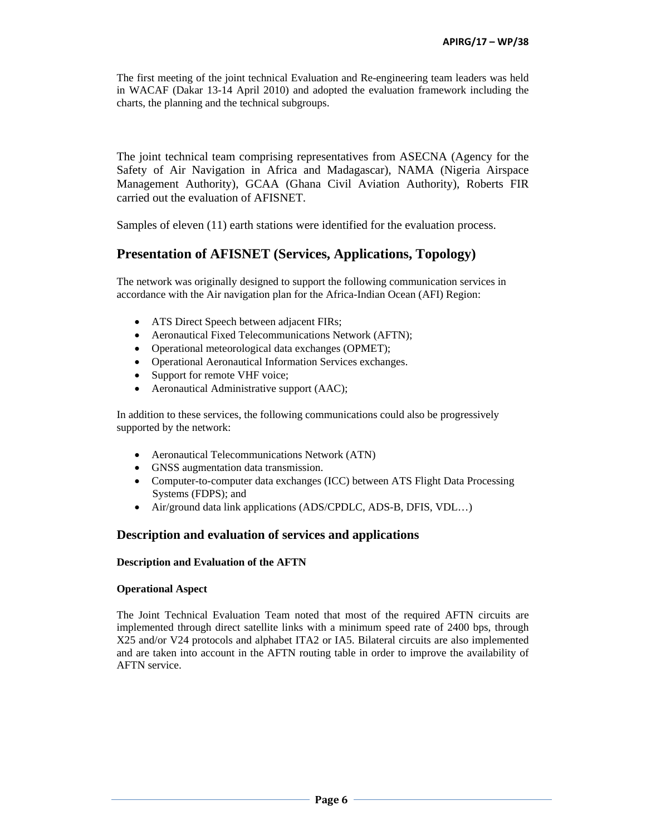The first meeting of the joint technical Evaluation and Re-engineering team leaders was held in WACAF (Dakar 13-14 April 2010) and adopted the evaluation framework including the charts, the planning and the technical subgroups.

The joint technical team comprising representatives from ASECNA (Agency for the Safety of Air Navigation in Africa and Madagascar), NAMA (Nigeria Airspace Management Authority), GCAA (Ghana Civil Aviation Authority), Roberts FIR carried out the evaluation of AFISNET.

Samples of eleven (11) earth stations were identified for the evaluation process.

# **Presentation of AFISNET (Services, Applications, Topology)**

The network was originally designed to support the following communication services in accordance with the Air navigation plan for the Africa-Indian Ocean (AFI) Region:

- ATS Direct Speech between adjacent FIRs;
- Aeronautical Fixed Telecommunications Network (AFTN);
- Operational meteorological data exchanges (OPMET);
- Operational Aeronautical Information Services exchanges.
- Support for remote VHF voice;
- Aeronautical Administrative support (AAC);

In addition to these services, the following communications could also be progressively supported by the network:

- Aeronautical Telecommunications Network (ATN)
- GNSS augmentation data transmission.
- Computer-to-computer data exchanges (ICC) between ATS Flight Data Processing Systems (FDPS); and
- Air/ground data link applications (ADS/CPDLC, ADS-B, DFIS, VDL...)

#### **Description and evaluation of services and applications**

#### **Description and Evaluation of the AFTN**

#### **Operational Aspect**

The Joint Technical Evaluation Team noted that most of the required AFTN circuits are implemented through direct satellite links with a minimum speed rate of 2400 bps, through X25 and/or V24 protocols and alphabet ITA2 or IA5. Bilateral circuits are also implemented and are taken into account in the AFTN routing table in order to improve the availability of AFTN service.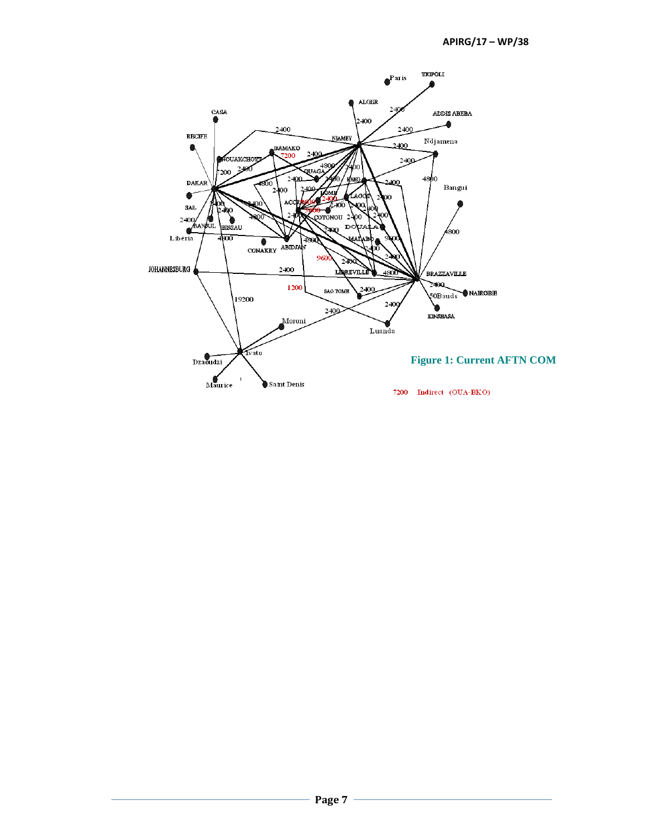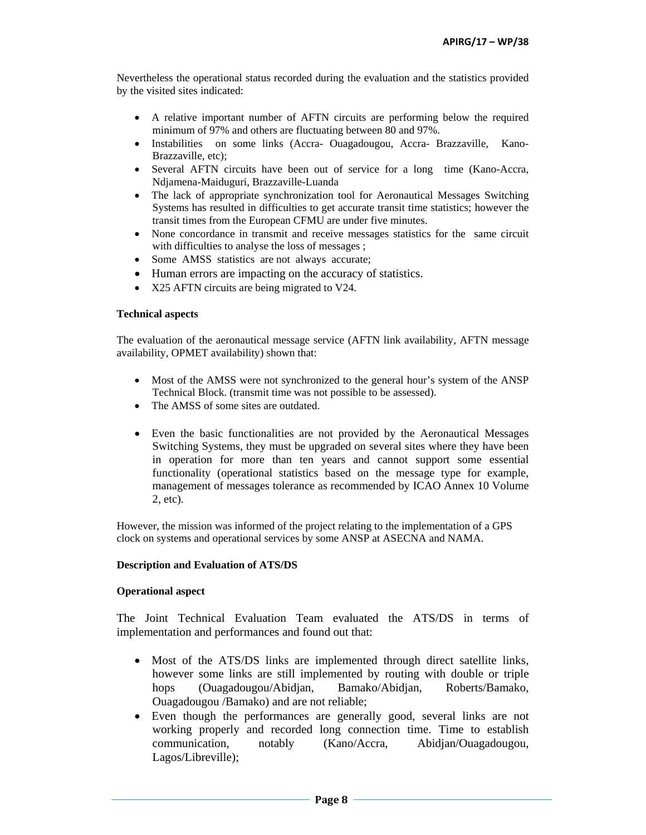Nevertheless the operational status recorded during the evaluation and the statistics provided by the visited sites indicated:

- A relative important number of AFTN circuits are performing below the required minimum of 97% and others are fluctuating between 80 and 97%.
- Instabilities on some links (Accra- Ouagadougou, Accra- Brazzaville, Kano-Brazzaville, etc);
- Several AFTN circuits have been out of service for a long time (Kano-Accra, Ndjamena-Maiduguri, Brazzaville-Luanda
- The lack of appropriate synchronization tool for Aeronautical Messages Switching Systems has resulted in difficulties to get accurate transit time statistics; however the transit times from the European CFMU are under five minutes.
- None concordance in transmit and receive messages statistics for the same circuit with difficulties to analyse the loss of messages ;
- Some AMSS statistics are not always accurate;
- Human errors are impacting on the accuracy of statistics.
- X25 AFTN circuits are being migrated to V24.

#### **Technical aspects**

The evaluation of the aeronautical message service (AFTN link availability, AFTN message availability, OPMET availability) shown that:

- Most of the AMSS were not synchronized to the general hour's system of the ANSP Technical Block. (transmit time was not possible to be assessed).
- The AMSS of some sites are outdated.
- Even the basic functionalities are not provided by the Aeronautical Messages Switching Systems, they must be upgraded on several sites where they have been in operation for more than ten years and cannot support some essential functionality (operational statistics based on the message type for example, management of messages tolerance as recommended by ICAO Annex 10 Volume 2, etc).

However, the mission was informed of the project relating to the implementation of a GPS clock on systems and operational services by some ANSP at ASECNA and NAMA.

#### **Description and Evaluation of ATS/DS**

#### **Operational aspect**

The Joint Technical Evaluation Team evaluated the ATS/DS in terms of implementation and performances and found out that:

- Most of the ATS/DS links are implemented through direct satellite links, however some links are still implemented by routing with double or triple hops (Ouagadougou/Abidjan, Bamako/Abidjan, Roberts/Bamako, Ouagadougou /Bamako) and are not reliable;
- Even though the performances are generally good, several links are not working properly and recorded long connection time. Time to establish communication, notably (Kano/Accra, Abidjan/Ouagadougou, Lagos/Libreville);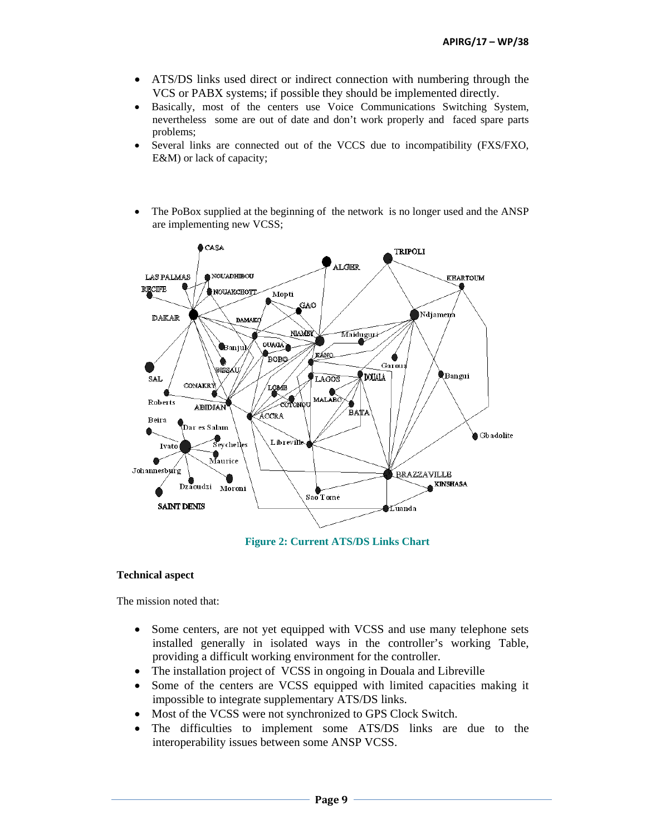- ATS/DS links used direct or indirect connection with numbering through the VCS or PABX systems; if possible they should be implemented directly.
- Basically, most of the centers use Voice Communications Switching System, nevertheless some are out of date and don't work properly and faced spare parts problems;
- Several links are connected out of the VCCS due to incompatibility (FXS/FXO, E&M) or lack of capacity;
- The PoBox supplied at the beginning of the network is no longer used and the ANSP are implementing new VCSS;



**Figure 2: Current ATS/DS Links Chart** 

#### **Technical aspect**

The mission noted that:

- Some centers, are not yet equipped with VCSS and use many telephone sets installed generally in isolated ways in the controller's working Table, providing a difficult working environment for the controller.
- The installation project of VCSS in ongoing in Douala and Libreville
- Some of the centers are VCSS equipped with limited capacities making it impossible to integrate supplementary ATS/DS links.
- Most of the VCSS were not synchronized to GPS Clock Switch.
- The difficulties to implement some ATS/DS links are due to the interoperability issues between some ANSP VCSS.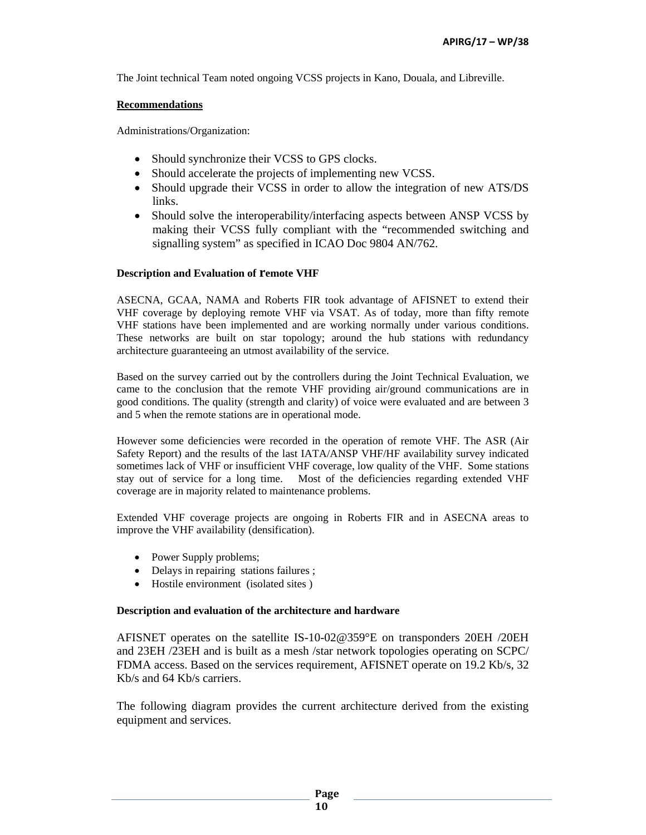The Joint technical Team noted ongoing VCSS projects in Kano, Douala, and Libreville.

#### **Recommendations**

Administrations/Organization:

- Should synchronize their VCSS to GPS clocks.
- Should accelerate the projects of implementing new VCSS.
- Should upgrade their VCSS in order to allow the integration of new ATS/DS links.
- Should solve the interoperability/interfacing aspects between ANSP VCSS by making their VCSS fully compliant with the "recommended switching and signalling system" as specified in ICAO Doc 9804 AN/762.

#### **Description and Evaluation of remote VHF**

ASECNA, GCAA, NAMA and Roberts FIR took advantage of AFISNET to extend their VHF coverage by deploying remote VHF via VSAT. As of today, more than fifty remote VHF stations have been implemented and are working normally under various conditions. These networks are built on star topology; around the hub stations with redundancy architecture guaranteeing an utmost availability of the service.

Based on the survey carried out by the controllers during the Joint Technical Evaluation, we came to the conclusion that the remote VHF providing air/ground communications are in good conditions. The quality (strength and clarity) of voice were evaluated and are between 3 and 5 when the remote stations are in operational mode.

However some deficiencies were recorded in the operation of remote VHF. The ASR (Air Safety Report) and the results of the last IATA/ANSP VHF/HF availability survey indicated sometimes lack of VHF or insufficient VHF coverage, low quality of the VHF. Some stations stay out of service for a long time. Most of the deficiencies regarding extended VHF coverage are in majority related to maintenance problems.

Extended VHF coverage projects are ongoing in Roberts FIR and in ASECNA areas to improve the VHF availability (densification).

- Power Supply problems;
- Delays in repairing stations failures;
- Hostile environment (isolated sites )

#### **Description and evaluation of the architecture and hardware**

AFISNET operates on the satellite IS-10-02@359°E on transponders 20EH /20EH and 23EH /23EH and is built as a mesh /star network topologies operating on SCPC/ FDMA access. Based on the services requirement, AFISNET operate on 19.2 Kb/s, 32 Kb/s and 64 Kb/s carriers.

The following diagram provides the current architecture derived from the existing equipment and services.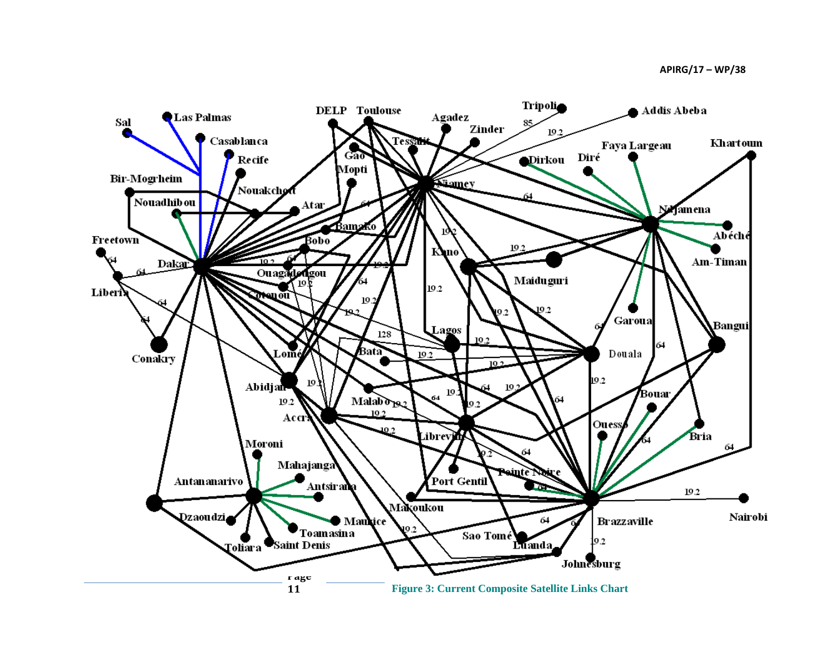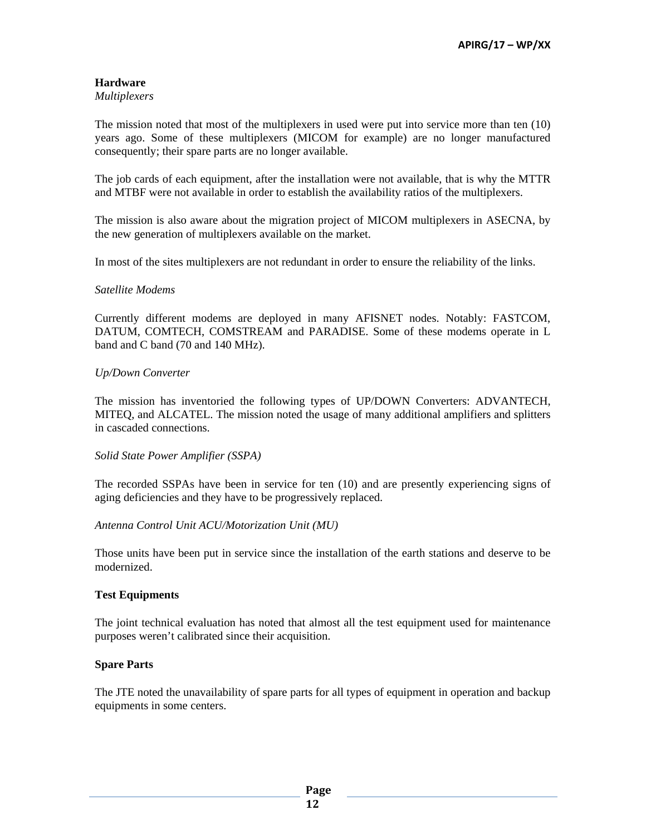# **Hardware**

#### *Multiplexers*

The mission noted that most of the multiplexers in used were put into service more than ten (10) years ago. Some of these multiplexers (MICOM for example) are no longer manufactured consequently; their spare parts are no longer available.

The job cards of each equipment, after the installation were not available, that is why the MTTR and MTBF were not available in order to establish the availability ratios of the multiplexers.

The mission is also aware about the migration project of MICOM multiplexers in ASECNA, by the new generation of multiplexers available on the market.

In most of the sites multiplexers are not redundant in order to ensure the reliability of the links.

#### *Satellite Modems*

Currently different modems are deployed in many AFISNET nodes. Notably: FASTCOM, DATUM, COMTECH, COMSTREAM and PARADISE. Some of these modems operate in L band and C band (70 and 140 MHz).

#### *Up/Down Converter*

The mission has inventoried the following types of UP/DOWN Converters: ADVANTECH, MITEQ, and ALCATEL. The mission noted the usage of many additional amplifiers and splitters in cascaded connections.

#### *Solid State Power Amplifier (SSPA)*

The recorded SSPAs have been in service for ten (10) and are presently experiencing signs of aging deficiencies and they have to be progressively replaced.

#### *Antenna Control Unit ACU/Motorization Unit (MU)*

Those units have been put in service since the installation of the earth stations and deserve to be modernized.

#### **Test Equipments**

The joint technical evaluation has noted that almost all the test equipment used for maintenance purposes weren't calibrated since their acquisition.

#### **Spare Parts**

The JTE noted the unavailability of spare parts for all types of equipment in operation and backup equipments in some centers.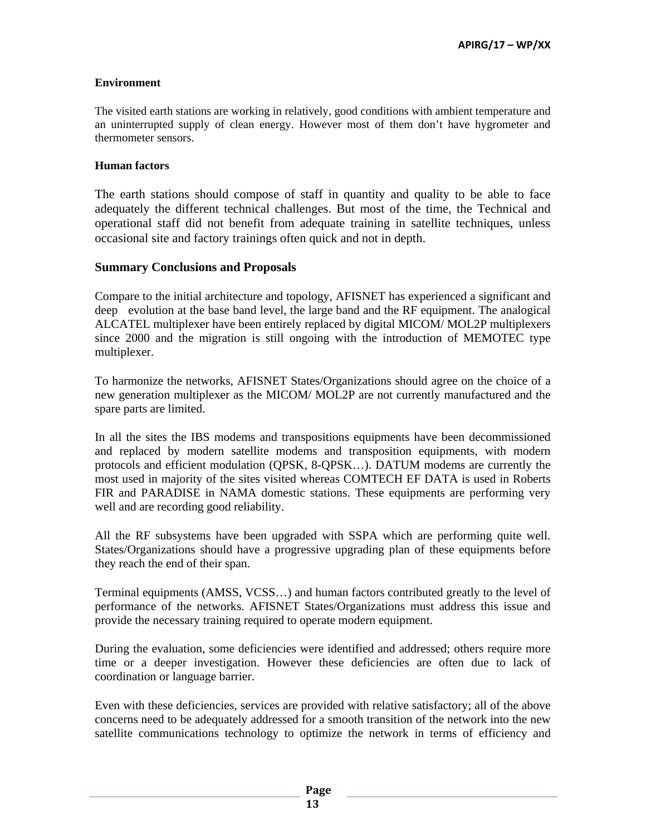#### **Environment**

The visited earth stations are working in relatively, good conditions with ambient temperature and an uninterrupted supply of clean energy. However most of them don't have hygrometer and thermometer sensors.

#### **Human factors**

The earth stations should compose of staff in quantity and quality to be able to face adequately the different technical challenges. But most of the time, the Technical and operational staff did not benefit from adequate training in satellite techniques, unless occasional site and factory trainings often quick and not in depth.

#### **Summary Conclusions and Proposals**

Compare to the initial architecture and topology, AFISNET has experienced a significant and deep evolution at the base band level, the large band and the RF equipment. The analogical ALCATEL multiplexer have been entirely replaced by digital MICOM/ MOL2P multiplexers since 2000 and the migration is still ongoing with the introduction of MEMOTEC type multiplexer.

To harmonize the networks, AFISNET States/Organizations should agree on the choice of a new generation multiplexer as the MICOM/ MOL2P are not currently manufactured and the spare parts are limited.

In all the sites the IBS modems and transpositions equipments have been decommissioned and replaced by modern satellite modems and transposition equipments, with modern protocols and efficient modulation (QPSK, 8-QPSK…). DATUM modems are currently the most used in majority of the sites visited whereas COMTECH EF DATA is used in Roberts FIR and PARADISE in NAMA domestic stations. These equipments are performing very well and are recording good reliability.

All the RF subsystems have been upgraded with SSPA which are performing quite well. States/Organizations should have a progressive upgrading plan of these equipments before they reach the end of their span.

Terminal equipments (AMSS, VCSS…) and human factors contributed greatly to the level of performance of the networks. AFISNET States/Organizations must address this issue and provide the necessary training required to operate modern equipment.

During the evaluation, some deficiencies were identified and addressed; others require more time or a deeper investigation. However these deficiencies are often due to lack of coordination or language barrier.

Even with these deficiencies, services are provided with relative satisfactory; all of the above concerns need to be adequately addressed for a smooth transition of the network into the new satellite communications technology to optimize the network in terms of efficiency and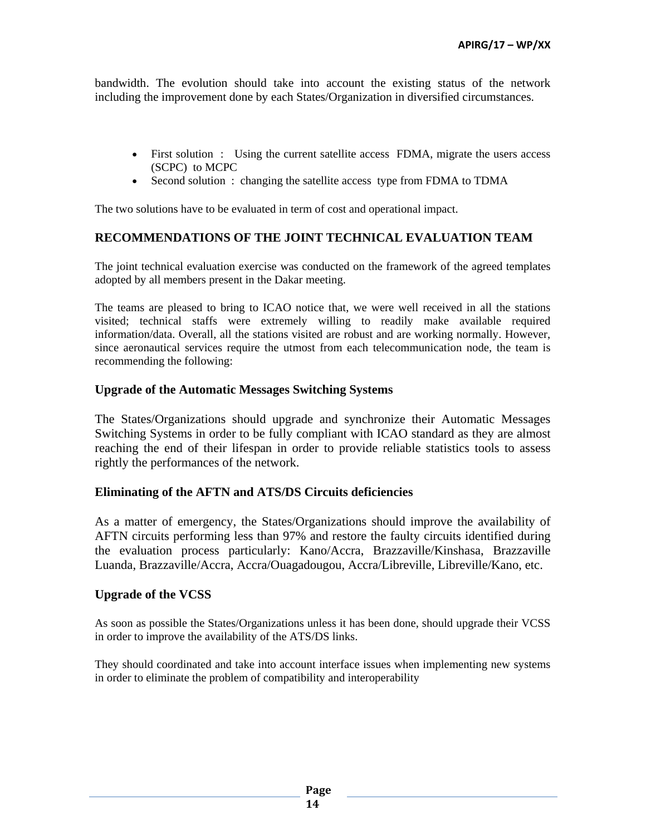bandwidth. The evolution should take into account the existing status of the network including the improvement done by each States/Organization in diversified circumstances.

- First solution : Using the current satellite access FDMA, migrate the users access (SCPC) to MCPC
- Second solution : changing the satellite access type from FDMA to TDMA

The two solutions have to be evaluated in term of cost and operational impact.

# **RECOMMENDATIONS OF THE JOINT TECHNICAL EVALUATION TEAM**

The joint technical evaluation exercise was conducted on the framework of the agreed templates adopted by all members present in the Dakar meeting.

The teams are pleased to bring to ICAO notice that, we were well received in all the stations visited; technical staffs were extremely willing to readily make available required information/data. Overall, all the stations visited are robust and are working normally. However, since aeronautical services require the utmost from each telecommunication node, the team is recommending the following:

## **Upgrade of the Automatic Messages Switching Systems**

The States/Organizations should upgrade and synchronize their Automatic Messages Switching Systems in order to be fully compliant with ICAO standard as they are almost reaching the end of their lifespan in order to provide reliable statistics tools to assess rightly the performances of the network.

# **Eliminating of the AFTN and ATS/DS Circuits deficiencies**

As a matter of emergency, the States/Organizations should improve the availability of AFTN circuits performing less than 97% and restore the faulty circuits identified during the evaluation process particularly: Kano/Accra, Brazzaville/Kinshasa, Brazzaville Luanda, Brazzaville/Accra, Accra/Ouagadougou, Accra/Libreville, Libreville/Kano, etc.

# **Upgrade of the VCSS**

As soon as possible the States/Organizations unless it has been done, should upgrade their VCSS in order to improve the availability of the ATS/DS links.

They should coordinated and take into account interface issues when implementing new systems in order to eliminate the problem of compatibility and interoperability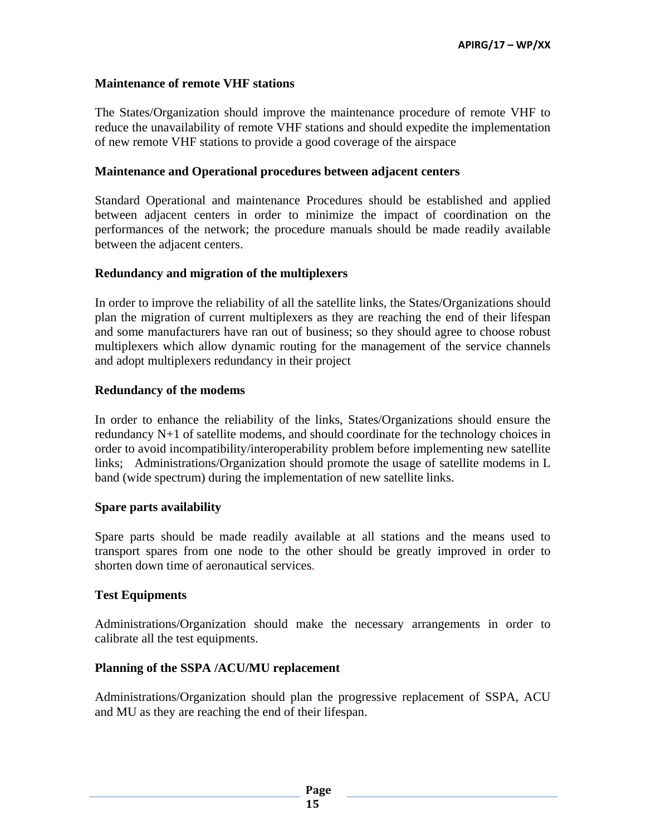# **Maintenance of remote VHF stations**

The States/Organization should improve the maintenance procedure of remote VHF to reduce the unavailability of remote VHF stations and should expedite the implementation of new remote VHF stations to provide a good coverage of the airspace

# **Maintenance and Operational procedures between adjacent centers**

Standard Operational and maintenance Procedures should be established and applied between adjacent centers in order to minimize the impact of coordination on the performances of the network; the procedure manuals should be made readily available between the adjacent centers.

# **Redundancy and migration of the multiplexers**

In order to improve the reliability of all the satellite links, the States/Organizations should plan the migration of current multiplexers as they are reaching the end of their lifespan and some manufacturers have ran out of business; so they should agree to choose robust multiplexers which allow dynamic routing for the management of the service channels and adopt multiplexers redundancy in their project

# **Redundancy of the modems**

In order to enhance the reliability of the links, States/Organizations should ensure the redundancy N+1 of satellite modems, and should coordinate for the technology choices in order to avoid incompatibility/interoperability problem before implementing new satellite links; Administrations/Organization should promote the usage of satellite modems in L band (wide spectrum) during the implementation of new satellite links.

# **Spare parts availability**

Spare parts should be made readily available at all stations and the means used to transport spares from one node to the other should be greatly improved in order to shorten down time of aeronautical services.

# **Test Equipments**

Administrations/Organization should make the necessary arrangements in order to calibrate all the test equipments.

# **Planning of the SSPA /ACU/MU replacement**

Administrations/Organization should plan the progressive replacement of SSPA, ACU and MU as they are reaching the end of their lifespan.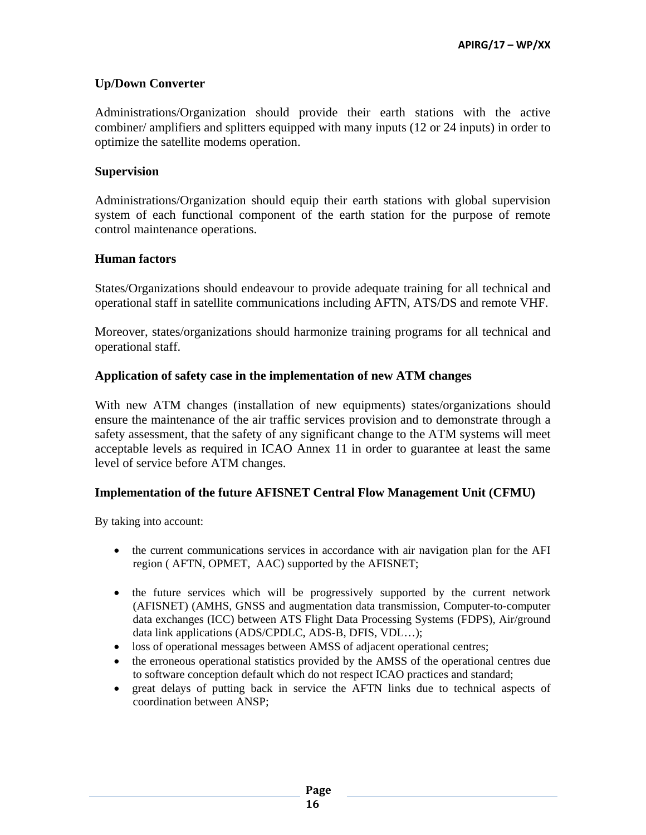# **Up/Down Converter**

Administrations/Organization should provide their earth stations with the active combiner/ amplifiers and splitters equipped with many inputs (12 or 24 inputs) in order to optimize the satellite modems operation.

# **Supervision**

Administrations/Organization should equip their earth stations with global supervision system of each functional component of the earth station for the purpose of remote control maintenance operations.

# **Human factors**

States/Organizations should endeavour to provide adequate training for all technical and operational staff in satellite communications including AFTN, ATS/DS and remote VHF.

Moreover, states/organizations should harmonize training programs for all technical and operational staff.

# **Application of safety case in the implementation of new ATM changes**

With new ATM changes (installation of new equipments) states/organizations should ensure the maintenance of the air traffic services provision and to demonstrate through a safety assessment, that the safety of any significant change to the ATM systems will meet acceptable levels as required in ICAO Annex 11 in order to guarantee at least the same level of service before ATM changes.

# **Implementation of the future AFISNET Central Flow Management Unit (CFMU)**

By taking into account:

- the current communications services in accordance with air navigation plan for the AFI region ( AFTN, OPMET, AAC) supported by the AFISNET;
- the future services which will be progressively supported by the current network (AFISNET) (AMHS, GNSS and augmentation data transmission, Computer-to-computer data exchanges (ICC) between ATS Flight Data Processing Systems (FDPS), Air/ground data link applications (ADS/CPDLC, ADS-B, DFIS, VDL…);
- loss of operational messages between AMSS of adjacent operational centres;
- the erroneous operational statistics provided by the AMSS of the operational centres due to software conception default which do not respect ICAO practices and standard;
- great delays of putting back in service the AFTN links due to technical aspects of coordination between ANSP;